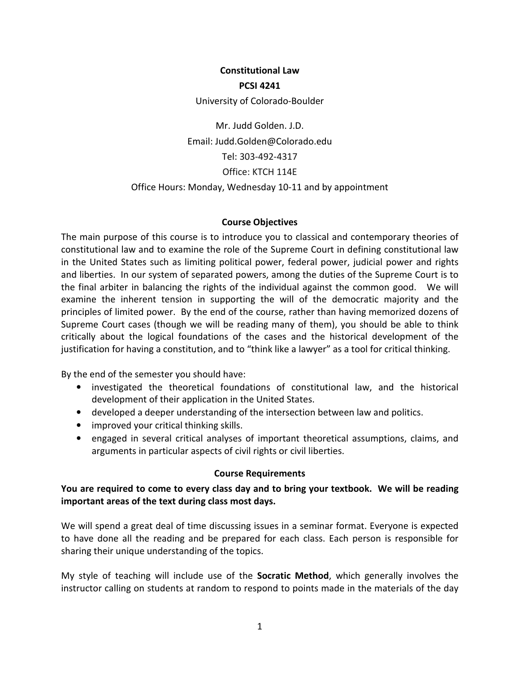# **Constitutional Law PCSI 4241**

#### University of Colorado-Boulder

Mr. Judd Golden. J.D. Email: Judd.Golden@Colorado.edu Tel: 303-492-4317 Office: KTCH 114E Office Hours: Monday, Wednesday 10-11 and by appointment

### **Course Objectives**

The main purpose of this course is to introduce you to classical and contemporary theories of constitutional law and to examine the role of the Supreme Court in defining constitutional law in the United States such as limiting political power, federal power, judicial power and rights and liberties. In our system of separated powers, among the duties of the Supreme Court is to the final arbiter in balancing the rights of the individual against the common good. We will examine the inherent tension in supporting the will of the democratic majority and the principles of limited power. By the end of the course, rather than having memorized dozens of Supreme Court cases (though we will be reading many of them), you should be able to think critically about the logical foundations of the cases and the historical development of the justification for having a constitution, and to "think like a lawyer" as a tool for critical thinking.

By the end of the semester you should have:

- investigated the theoretical foundations of constitutional law, and the historical development of their application in the United States.
- developed a deeper understanding of the intersection between law and politics.
- improved your critical thinking skills.
- engaged in several critical analyses of important theoretical assumptions, claims, and arguments in particular aspects of civil rights or civil liberties.

## **Course Requirements**

# **You are required to come to every class day and to bring your textbook. We will be reading important areas of the text during class most days.**

We will spend a great deal of time discussing issues in a seminar format. Everyone is expected to have done all the reading and be prepared for each class. Each person is responsible for sharing their unique understanding of the topics.

My style of teaching will include use of the **Socratic Method**, which generally involves the instructor calling on students at random to respond to points made in the materials of the day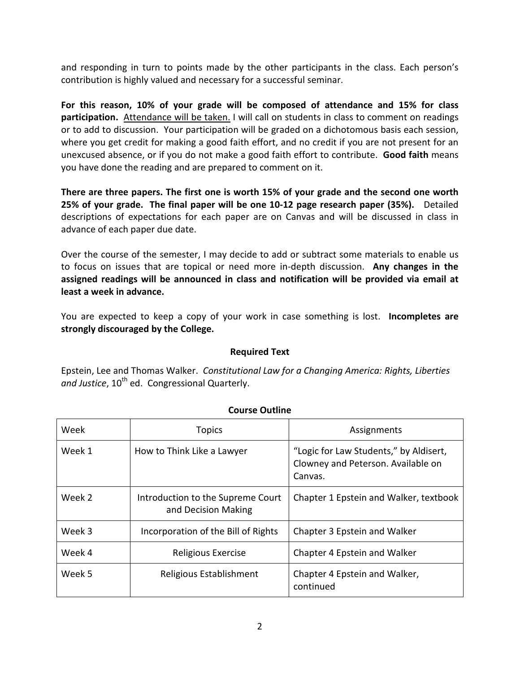and responding in turn to points made by the other participants in the class. Each person's contribution is highly valued and necessary for a successful seminar.

**For this reason, 10% of your grade will be composed of attendance and 15% for class participation.** Attendance will be taken. I will call on students in class to comment on readings or to add to discussion. Your participation will be graded on a dichotomous basis each session, where you get credit for making a good faith effort, and no credit if you are not present for an unexcused absence, or if you do not make a good faith effort to contribute. **Good faith** means you have done the reading and are prepared to comment on it.

**There are three papers. The first one is worth 15% of your grade and the second one worth 25% of your grade. The final paper will be one 10-12 page research paper (35%).** Detailed descriptions of expectations for each paper are on Canvas and will be discussed in class in advance of each paper due date.

Over the course of the semester, I may decide to add or subtract some materials to enable us to focus on issues that are topical or need more in-depth discussion. **Any changes in the assigned readings will be announced in class and notification will be provided via email at least a week in advance.** 

You are expected to keep a copy of your work in case something is lost. **Incompletes are strongly discouraged by the College.** 

## **Required Text**

Epstein, Lee and Thomas Walker. *Constitutional Law for a Changing America: Rights, Liberties*  and Justice, 10<sup>th</sup> ed. Congressional Quarterly.

| Week   | <b>Topics</b>                                            | Assignments                                                                             |
|--------|----------------------------------------------------------|-----------------------------------------------------------------------------------------|
| Week 1 | How to Think Like a Lawyer                               | "Logic for Law Students," by Aldisert,<br>Clowney and Peterson. Available on<br>Canvas. |
| Week 2 | Introduction to the Supreme Court<br>and Decision Making | Chapter 1 Epstein and Walker, textbook                                                  |
| Week 3 | Incorporation of the Bill of Rights                      | Chapter 3 Epstein and Walker                                                            |
| Week 4 | Religious Exercise                                       | Chapter 4 Epstein and Walker                                                            |
| Week 5 | Religious Establishment                                  | Chapter 4 Epstein and Walker,<br>continued                                              |

# **Course Outline**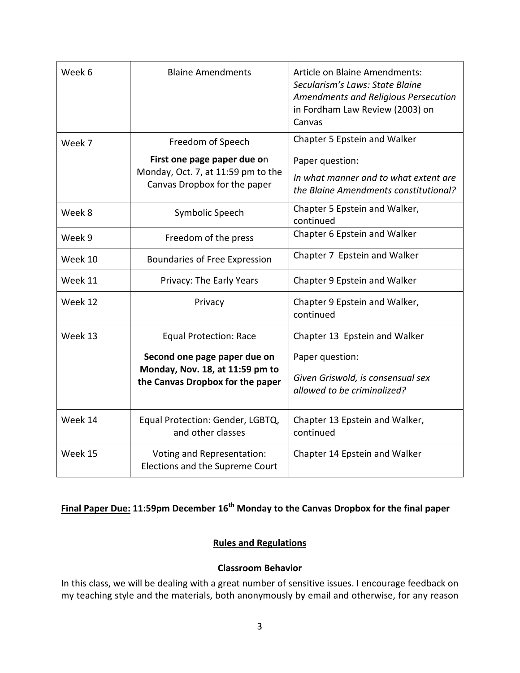| Week 6  | <b>Blaine Amendments</b>                                                                                               | <b>Article on Blaine Amendments:</b><br>Secularism's Laws: State Blaine<br>Amendments and Religious Persecution<br>in Fordham Law Review (2003) on<br>Canvas |
|---------|------------------------------------------------------------------------------------------------------------------------|--------------------------------------------------------------------------------------------------------------------------------------------------------------|
| Week 7  | Freedom of Speech<br>First one page paper due on<br>Monday, Oct. 7, at 11:59 pm to the<br>Canvas Dropbox for the paper | Chapter 5 Epstein and Walker<br>Paper question:<br>In what manner and to what extent are<br>the Blaine Amendments constitutional?                            |
| Week 8  | Symbolic Speech                                                                                                        | Chapter 5 Epstein and Walker,<br>continued                                                                                                                   |
| Week 9  | Freedom of the press                                                                                                   | Chapter 6 Epstein and Walker                                                                                                                                 |
| Week 10 | Boundaries of Free Expression                                                                                          | Chapter 7 Epstein and Walker                                                                                                                                 |
| Week 11 | Privacy: The Early Years                                                                                               | Chapter 9 Epstein and Walker                                                                                                                                 |
| Week 12 | Privacy                                                                                                                | Chapter 9 Epstein and Walker,<br>continued                                                                                                                   |
| Week 13 | <b>Equal Protection: Race</b>                                                                                          | Chapter 13 Epstein and Walker                                                                                                                                |
|         | Second one page paper due on<br>Monday, Nov. 18, at 11:59 pm to<br>the Canvas Dropbox for the paper                    | Paper question:                                                                                                                                              |
|         |                                                                                                                        | Given Griswold, is consensual sex<br>allowed to be criminalized?                                                                                             |
| Week 14 | Equal Protection: Gender, LGBTQ,<br>and other classes                                                                  | Chapter 13 Epstein and Walker,<br>continued                                                                                                                  |
| Week 15 | Voting and Representation:<br>Elections and the Supreme Court                                                          | Chapter 14 Epstein and Walker                                                                                                                                |

# **Final Paper Due: 11:59pm December 16th Monday to the Canvas Dropbox for the final paper**

## **Rules and Regulations**

## **Classroom Behavior**

In this class, we will be dealing with a great number of sensitive issues. I encourage feedback on my teaching style and the materials, both anonymously by email and otherwise, for any reason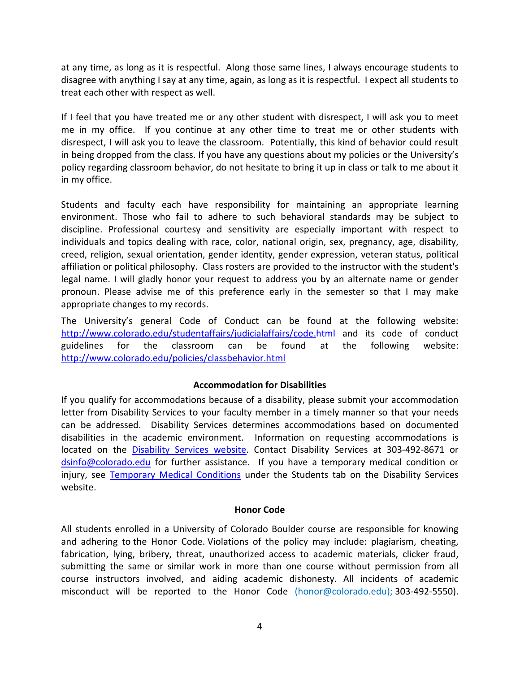at any time, as long as it is respectful. Along those same lines, I always encourage students to disagree with anything I say at any time, again, as long as it is respectful. I expect all students to treat each other with respect as well.

If I feel that you have treated me or any other student with disrespect, I will ask you to meet me in my office. If you continue at any other time to treat me or other students with disrespect, I will ask you to leave the classroom. Potentially, this kind of behavior could result in being dropped from the class. If you have any questions about my policies or the University's policy regarding classroom behavior, do not hesitate to bring it up in class or talk to me about it in my office.

Students and faculty each have responsibility for maintaining an appropriate learning environment. Those who fail to adhere to such behavioral standards may be subject to discipline. Professional courtesy and sensitivity are especially important with respect to individuals and topics dealing with race, color, national origin, sex, pregnancy, age, disability, creed, religion, sexual orientation, gender identity, gender expression, veteran status, political affiliation or political philosophy. Class rosters are provided to the instructor with the student's legal name. I will gladly honor your request to address you by an alternate name or gender pronoun. Please advise me of this preference early in the semester so that I may make appropriate changes to my records.

The University's general Code of Conduct can be found at the following website: http://www.colorado.edu/studentaffairs/judicialaffairs/code.html and its code of conduct guidelines for the classroom can be found at the following website: http://www.colorado.edu/policies/classbehavior.html

## **Accommodation for Disabilities**

If you qualify for accommodations because of a disability, please submit your accommodation letter from Disability Services to your faculty member in a timely manner so that your needs can be addressed. Disability Services determines accommodations based on documented disabilities in the academic environment. Information on requesting accommodations is located on the Disability Services website. Contact Disability Services at 303-492-8671 or dsinfo@colorado.edu for further assistance. If you have a temporary medical condition or injury, see Temporary Medical Conditions under the Students tab on the Disability Services website.

## **Honor Code**

All students enrolled in a University of Colorado Boulder course are responsible for knowing and adhering to the Honor Code. Violations of the policy may include: plagiarism, cheating, fabrication, lying, bribery, threat, unauthorized access to academic materials, clicker fraud, submitting the same or similar work in more than one course without permission from all course instructors involved, and aiding academic dishonesty. All incidents of academic misconduct will be reported to the Honor Code (honor@colorado.edu); 303-492-5550).